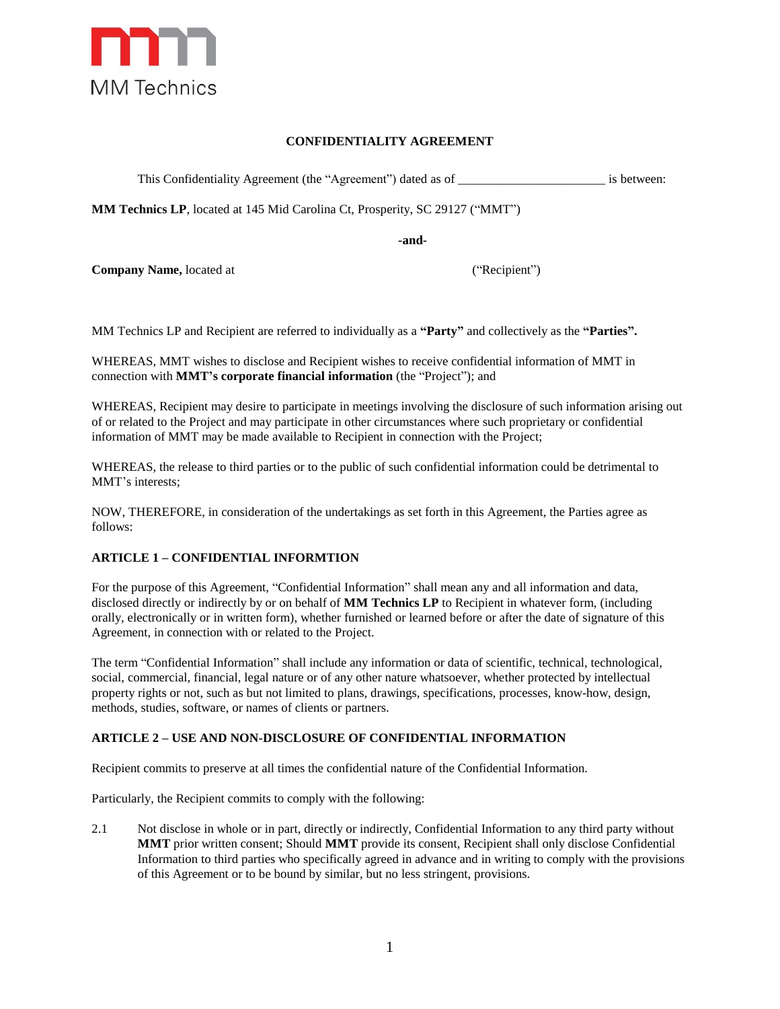

# **CONFIDENTIALITY AGREEMENT**

This Confidentiality Agreement (the "Agreement") dated as of \_\_\_\_\_\_\_\_\_\_\_\_\_\_\_\_\_\_\_\_\_\_\_ is between:

**MM Technics LP**, located at 145 Mid Carolina Ct, Prosperity, SC 29127 ("MMT")

**-and-**

**Company Name,** located at ("Recipient")

MM Technics LP and Recipient are referred to individually as a **"Party"** and collectively as the **"Parties".**

WHEREAS, MMT wishes to disclose and Recipient wishes to receive confidential information of MMT in connection with **MMT's corporate financial information** (the "Project"); and

WHEREAS, Recipient may desire to participate in meetings involving the disclosure of such information arising out of or related to the Project and may participate in other circumstances where such proprietary or confidential information of MMT may be made available to Recipient in connection with the Project;

WHEREAS, the release to third parties or to the public of such confidential information could be detrimental to MMT's interests;

NOW, THEREFORE, in consideration of the undertakings as set forth in this Agreement, the Parties agree as follows:

## **ARTICLE 1 – CONFIDENTIAL INFORMTION**

For the purpose of this Agreement, "Confidential Information" shall mean any and all information and data, disclosed directly or indirectly by or on behalf of **MM Technics LP** to Recipient in whatever form, (including orally, electronically or in written form), whether furnished or learned before or after the date of signature of this Agreement, in connection with or related to the Project.

The term "Confidential Information" shall include any information or data of scientific, technical, technological, social, commercial, financial, legal nature or of any other nature whatsoever, whether protected by intellectual property rights or not, such as but not limited to plans, drawings, specifications, processes, know-how, design, methods, studies, software, or names of clients or partners.

## **ARTICLE 2 – USE AND NON-DISCLOSURE OF CONFIDENTIAL INFORMATION**

Recipient commits to preserve at all times the confidential nature of the Confidential Information.

Particularly, the Recipient commits to comply with the following:

2.1 Not disclose in whole or in part, directly or indirectly, Confidential Information to any third party without **MMT** prior written consent; Should **MMT** provide its consent, Recipient shall only disclose Confidential Information to third parties who specifically agreed in advance and in writing to comply with the provisions of this Agreement or to be bound by similar, but no less stringent, provisions.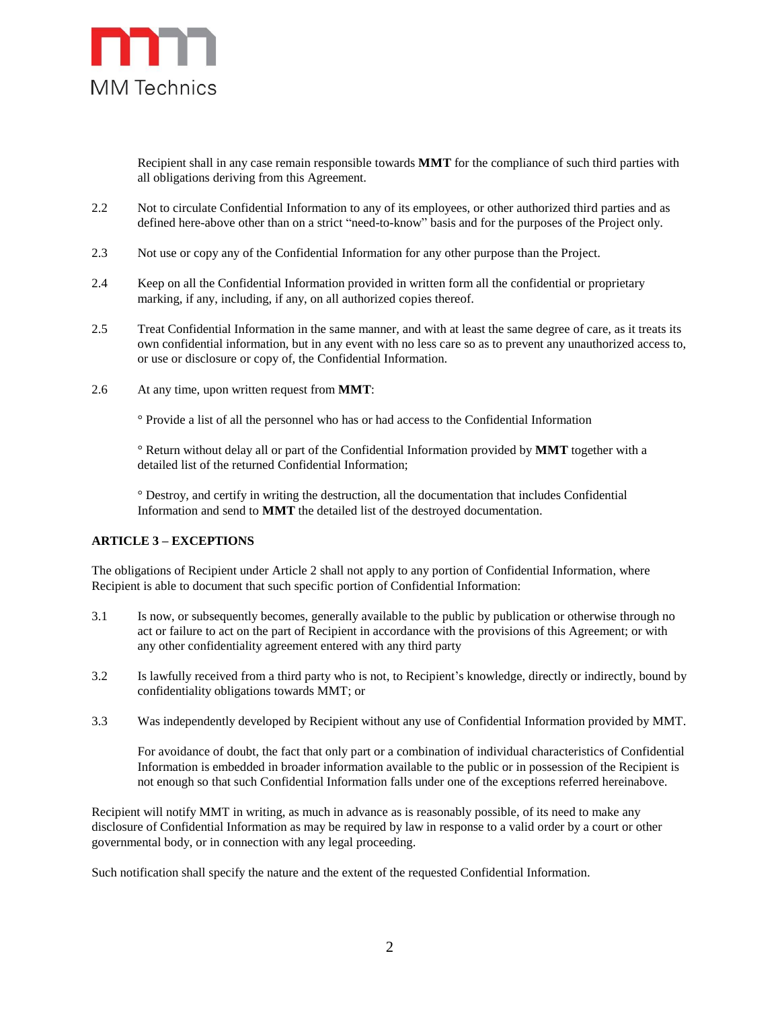

Recipient shall in any case remain responsible towards **MMT** for the compliance of such third parties with all obligations deriving from this Agreement.

- 2.2 Not to circulate Confidential Information to any of its employees, or other authorized third parties and as defined here-above other than on a strict "need-to-know" basis and for the purposes of the Project only.
- 2.3 Not use or copy any of the Confidential Information for any other purpose than the Project.
- 2.4 Keep on all the Confidential Information provided in written form all the confidential or proprietary marking, if any, including, if any, on all authorized copies thereof.
- 2.5 Treat Confidential Information in the same manner, and with at least the same degree of care, as it treats its own confidential information, but in any event with no less care so as to prevent any unauthorized access to, or use or disclosure or copy of, the Confidential Information.
- 2.6 At any time, upon written request from **MMT**:

° Provide a list of all the personnel who has or had access to the Confidential Information

° Return without delay all or part of the Confidential Information provided by **MMT** together with a detailed list of the returned Confidential Information;

° Destroy, and certify in writing the destruction, all the documentation that includes Confidential Information and send to **MMT** the detailed list of the destroyed documentation.

## **ARTICLE 3 – EXCEPTIONS**

The obligations of Recipient under Article 2 shall not apply to any portion of Confidential Information, where Recipient is able to document that such specific portion of Confidential Information:

- 3.1 Is now, or subsequently becomes, generally available to the public by publication or otherwise through no act or failure to act on the part of Recipient in accordance with the provisions of this Agreement; or with any other confidentiality agreement entered with any third party
- 3.2 Is lawfully received from a third party who is not, to Recipient's knowledge, directly or indirectly, bound by confidentiality obligations towards MMT; or
- 3.3 Was independently developed by Recipient without any use of Confidential Information provided by MMT.

For avoidance of doubt, the fact that only part or a combination of individual characteristics of Confidential Information is embedded in broader information available to the public or in possession of the Recipient is not enough so that such Confidential Information falls under one of the exceptions referred hereinabove.

Recipient will notify MMT in writing, as much in advance as is reasonably possible, of its need to make any disclosure of Confidential Information as may be required by law in response to a valid order by a court or other governmental body, or in connection with any legal proceeding.

Such notification shall specify the nature and the extent of the requested Confidential Information.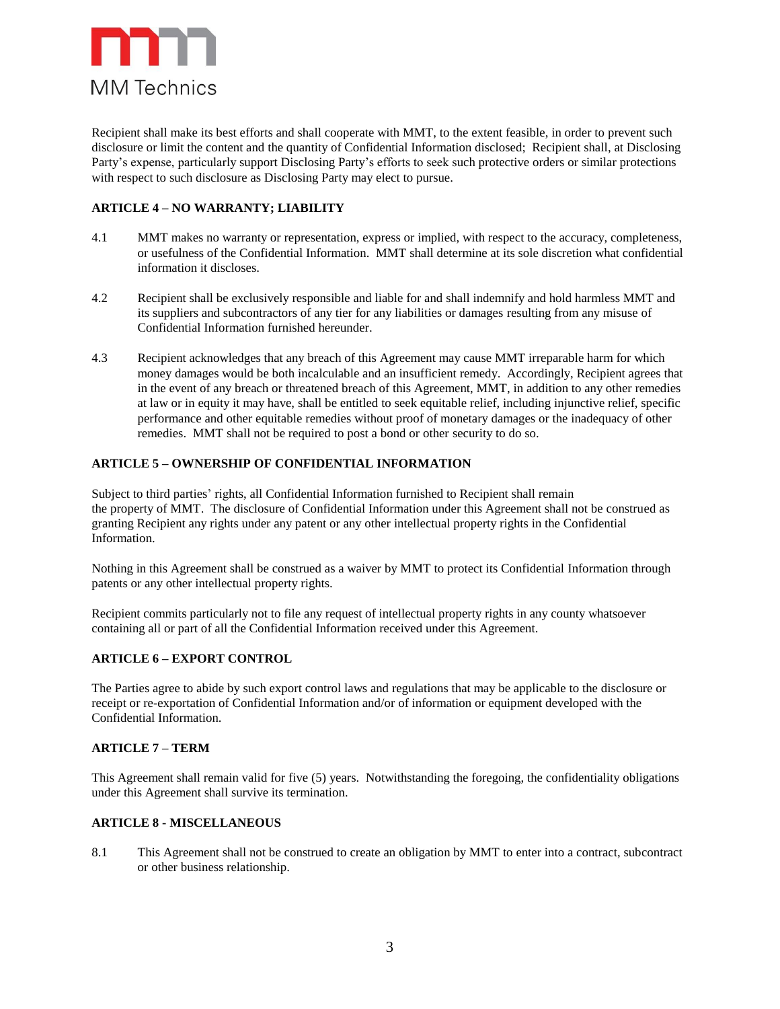

Recipient shall make its best efforts and shall cooperate with MMT, to the extent feasible, in order to prevent such disclosure or limit the content and the quantity of Confidential Information disclosed; Recipient shall, at Disclosing Party's expense, particularly support Disclosing Party's efforts to seek such protective orders or similar protections with respect to such disclosure as Disclosing Party may elect to pursue.

## **ARTICLE 4 – NO WARRANTY; LIABILITY**

- 4.1 MMT makes no warranty or representation, express or implied, with respect to the accuracy, completeness, or usefulness of the Confidential Information. MMT shall determine at its sole discretion what confidential information it discloses.
- 4.2 Recipient shall be exclusively responsible and liable for and shall indemnify and hold harmless MMT and its suppliers and subcontractors of any tier for any liabilities or damages resulting from any misuse of Confidential Information furnished hereunder.
- 4.3 Recipient acknowledges that any breach of this Agreement may cause MMT irreparable harm for which money damages would be both incalculable and an insufficient remedy. Accordingly, Recipient agrees that in the event of any breach or threatened breach of this Agreement, MMT, in addition to any other remedies at law or in equity it may have, shall be entitled to seek equitable relief, including injunctive relief, specific performance and other equitable remedies without proof of monetary damages or the inadequacy of other remedies. MMT shall not be required to post a bond or other security to do so.

## **ARTICLE 5 – OWNERSHIP OF CONFIDENTIAL INFORMATION**

Subject to third parties' rights, all Confidential Information furnished to Recipient shall remain the property of MMT. The disclosure of Confidential Information under this Agreement shall not be construed as granting Recipient any rights under any patent or any other intellectual property rights in the Confidential Information.

Nothing in this Agreement shall be construed as a waiver by MMT to protect its Confidential Information through patents or any other intellectual property rights.

Recipient commits particularly not to file any request of intellectual property rights in any county whatsoever containing all or part of all the Confidential Information received under this Agreement.

## **ARTICLE 6 – EXPORT CONTROL**

The Parties agree to abide by such export control laws and regulations that may be applicable to the disclosure or receipt or re-exportation of Confidential Information and/or of information or equipment developed with the Confidential Information.

## **ARTICLE 7 – TERM**

This Agreement shall remain valid for five (5) years. Notwithstanding the foregoing, the confidentiality obligations under this Agreement shall survive its termination.

## **ARTICLE 8 - MISCELLANEOUS**

8.1 This Agreement shall not be construed to create an obligation by MMT to enter into a contract, subcontract or other business relationship.